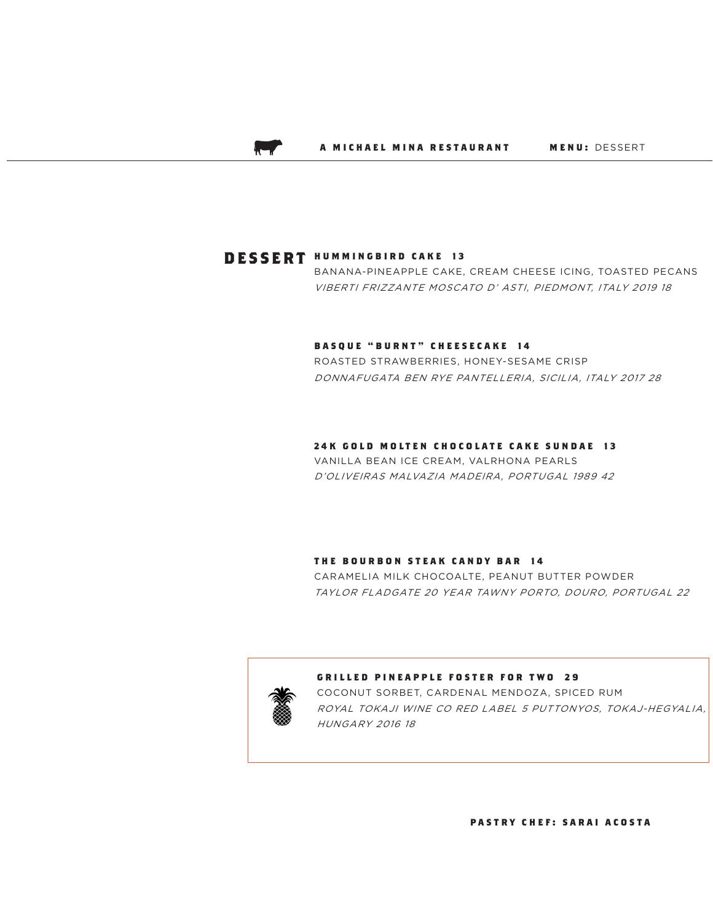$\lambda$ 

# **DESSERT HUMMINGBIRD CAKE 13**

BANANA-PINEAPPLE CAKE, CREAM CHEESE ICING, TOASTED PECANS VIBERTI FRIZZANTE MOSCATO D' ASTI, PIEDMONT, ITALY 2019 18

## **BASQUE "BURNT" CHEESECAKE 14**

ROASTED STRAWBERRIES, HONEY-SESAME CRISP DONNAFUGATA BEN RYE PANTELLERIA, SICILIA, ITALY 2017 28

#### **24K GOLD MOLTEN CHOCOLATE CAKE SUNDAE 13**

VANILLA BEAN ICE CREAM, VALRHONA PEARLS D'OLIVEIRAS MALVAZIA MADEIRA, PORTUGAL 1989 42

#### **THE BOURBON STEAK CANDY BAR 14**

CARAMELIA MILK CHOCOALTE, PEANUT BUTTER POWDER TAYLOR FLADGATE 20 YEAR TAWNY PORTO, DOURO, PORTUGAL 22



#### **GRILLED PINEAPPLE FOSTER FOR TWO 29**

COCONUT SORBET, CARDENAL MENDOZA, SPICED RUM ROYAL TOKAJI WINE CO RED LABEL 5 PUTTONYOS, TOKAJ-HEGYALIA, HUNGARY 2016 18

**PASTRY CHEF: SARAI ACOSTA**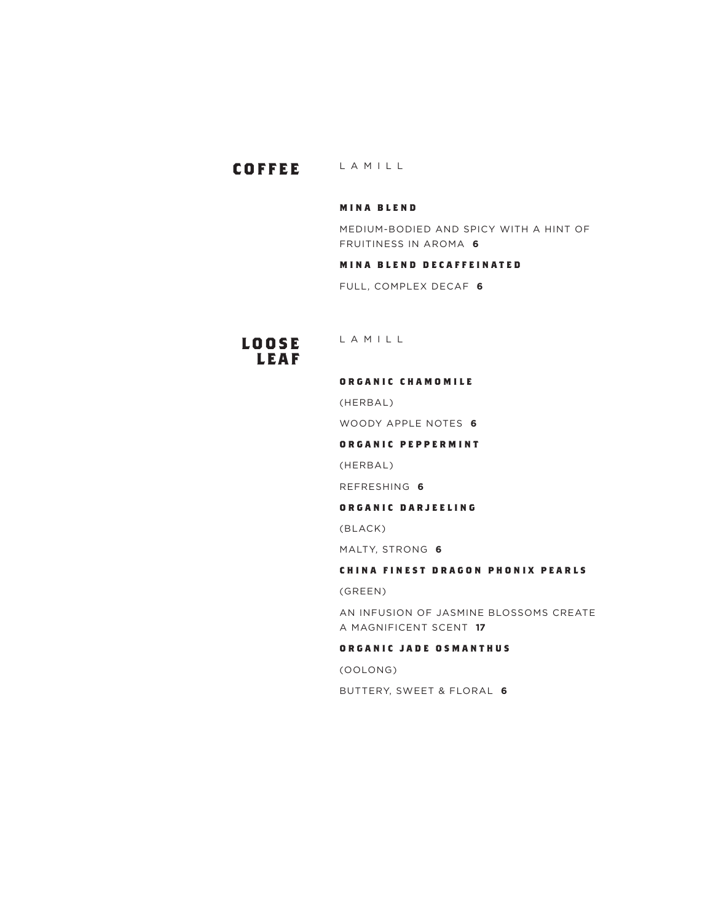# **COFFEE** LAMILL

# **MINA BLEND**

MEDIUM-BODIED AND SPICY WITH A HINT OF FRUITINESS IN AROMA **6**

# **MINA BLEND DECAFFEINATED**

FULL, COMPLEX DECAF **6**

# **L O O S E L E A F**

LAMILL

#### **O R G A N I C C H A M O M I L E**

(HERBAL)

WOODY APPLE NOTES **6**

#### **ORGANIC PEPPERMINT**

(HERBAL)

REFRESHING **6**

# **ORGANIC DARJEELING**

(BLACK)

MALTY, STRONG **6**

# **CHINA FINEST DRAGON PHONIX PEARLS**

(GREEN)

AN INFUSION OF JASMINE BLOSSOMS CREATE A MAGNIFICENT SCENT **17**

#### **O R G A N I C J A D E O S M A N T H U S**

(OOLONG)

BUTTERY, SWEET & FLORAL **6**